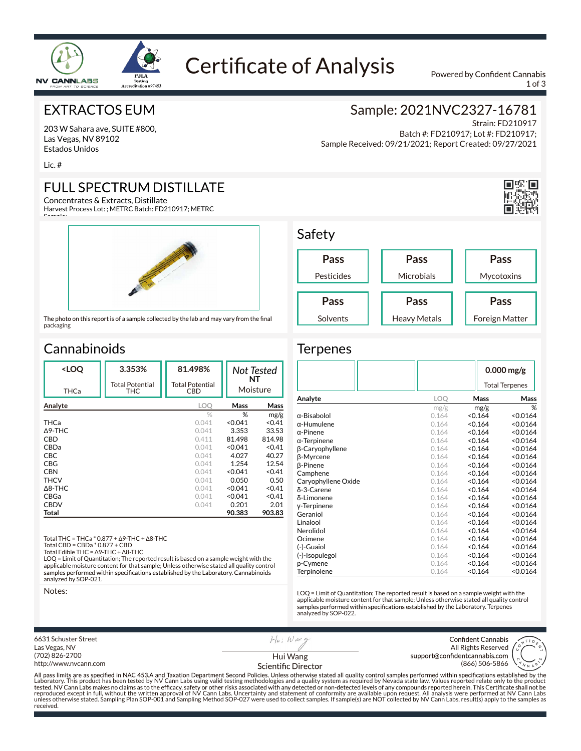

# **Certificate of Analysis**

Powered by Confident Cannabis 1 of 3

#### EXTRACTOS EUM

203 W Sahara ave, SUITE #800, Las Vegas, NV 89102 Estados Unidos

Lic. #

 $\sim$ 

## FULL SPECTRUM DISTILLATE

Concentrates & Extracts, Distillate Harvest Process Lot: ; METRC Batch: FD210917; METRC



The photo on this report is of a sample collected by the lab and may vary from the final packaging

## **Cannabinoids**

| <loq< th=""><th>3.353%</th><th>81.498%</th><th colspan="2" rowspan="2">Not Tested<br/>NT<br/>Moisture</th></loq<> | 3.353%                        | 81.498%                       | Not Tested<br>NT<br>Moisture |        |
|-------------------------------------------------------------------------------------------------------------------|-------------------------------|-------------------------------|------------------------------|--------|
| THCa                                                                                                              | <b>Total Potential</b><br>THC | <b>Total Potential</b><br>CBD |                              |        |
| Analyte                                                                                                           |                               | LOO                           | Mass                         | Mass   |
|                                                                                                                   |                               | $\%$                          | %                            | mg/g   |
| <b>THCa</b>                                                                                                       |                               | 0.041                         | < 0.041                      | < 0.41 |
| $\Delta$ 9-THC                                                                                                    |                               | 0.041                         | 3.353                        | 33.53  |
| C <sub>RD</sub>                                                                                                   |                               | 0.411                         | 81.498                       | 814.98 |
| CBDa                                                                                                              |                               | 0.041                         | < 0.041                      | < 0.41 |
| <b>CBC</b>                                                                                                        |                               | 0.041                         | 4.027                        | 40.27  |
| CBG                                                                                                               |                               | 0.041                         | 1.254                        | 12.54  |
| <b>CBN</b>                                                                                                        |                               | 0.041                         | < 0.041                      | < 0.41 |
| <b>THCV</b>                                                                                                       |                               | 0.041                         | 0.050                        | 0.50   |
| $\triangle$ 8-THC                                                                                                 |                               | 0.041                         | < 0.041                      | < 0.41 |
| CBGa                                                                                                              |                               | 0.041                         | < 0.041                      | < 0.41 |
| <b>CBDV</b>                                                                                                       |                               | 0.041                         | 0.201                        | 2.01   |
| Total                                                                                                             |                               |                               | 90.383                       | 903.83 |
|                                                                                                                   |                               |                               |                              |        |

Total THC = THCa \* 0.877 + ∆9-THC + ∆8-THC

Total CBD = CBDa \* 0.877 + CBD

Total Edible THC = ∆9-THC + ∆8-THC LOQ = Limit of Quantitation; The reported result is based on a sample weight with the applicable moisture content for that sample; Unless otherwise stated all quality control analyzed by SOP-021.

Notes:

## Sample: 2021NVC2327-16781

Strain: FD210917 Batch #: FD210917; Lot #: FD210917; Sample Received: 09/21/2021; Report Created: 09/27/2021



#### Safety Pesticides **Pass** Microbials **Pass Pass**

**Pass** Solvents

**Pass** Mycotoxins Heavy Metals **Pass** Foreign Matter

#### **Terpenes**

|                     |       | $0.000$ mg/g          |          |  |
|---------------------|-------|-----------------------|----------|--|
|                     |       | <b>Total Terpenes</b> |          |  |
| Analyte             | LOQ   | Mass                  | Mass     |  |
|                     | mg/g  | mg/g                  | %        |  |
| $\alpha$ -Bisabolol | 0.164 | < 0.164               | < 0.0164 |  |
| $\alpha$ -Humulene  | 0.164 | < 0.164               | < 0.0164 |  |
| $\alpha$ -Pinene    | 0.164 | < 0.164               | < 0.0164 |  |
| $\alpha$ -Terpinene | 0.164 | < 0.164               | < 0.0164 |  |
| β-Caryophyllene     | 0.164 | 0.164                 | < 0.0164 |  |
| β-Myrcene           | 0.164 | 0.164                 | < 0.0164 |  |
| <b>B-Pinene</b>     | 0.164 | < 0.164               | < 0.0164 |  |
| Camphene            | 0.164 | < 0.164               | < 0.0164 |  |
| Caryophyllene Oxide | 0.164 | < 0.164               | < 0.0164 |  |
| δ-3-Carene          | 0.164 | 0.164                 | < 0.0164 |  |
| δ-Limonene          | 0.164 | 0.164                 | < 0.0164 |  |
| y-Terpinene         | 0.164 | < 0.164               | < 0.0164 |  |
| Geraniol            | 0.164 | < 0.164               | < 0.0164 |  |
| Linalool            | 0.164 | < 0.164               | < 0.0164 |  |
| Nerolidol           | 0.164 | < 0.164               | < 0.0164 |  |
| Ocimene             | 0.164 | < 0.164               | < 0.0164 |  |
| (-)-Guaiol          | 0.164 | < 0.164               | < 0.0164 |  |
| (-)-Isopulegol      | 0.164 | 0.164                 | < 0.0164 |  |
| p-Cymene            | 0.164 | < 0.164               | < 0.0164 |  |
| Terpinolene         | 0.164 | 0.164                 | < 0.0164 |  |

LOQ = Limit of Quantitation; The reported result is based on a sample weight with the applicable moisture content for that sample; Unless otherwise stated all quality control samples performed within specifications established by the Laboratory. Terpenes analyzed by SOP-022.

6631 Schuster Street  $H|_{H}$ ; Waxq Confident Cannabis Las Vegas, NV All Rights Reserved<br>support@confidentcannabis.com (702) 826-2700 Hui Wang (866) 506-5866 http://www.nvcann.com Scientific Director

Laboratory. This product has been tested by NV Cann Labs using valid testing methodologies and a quality system as required by Nevada state law. Values reported relate only to the product reproduced except in full, without the written approval of NV Cann Labs. Uncertainty and statement of conformity are available upon request. All analysis were performed at NV Cann Labs<br>unless otherwise stated. Sampling Pla unless otherwise stated. Sampling Plan SOP-001 and Sampling Method SOP-027 were used to collect samples. If sample(s) are NOT collected by NV Cann Labs, result(s) apply to the samples as received.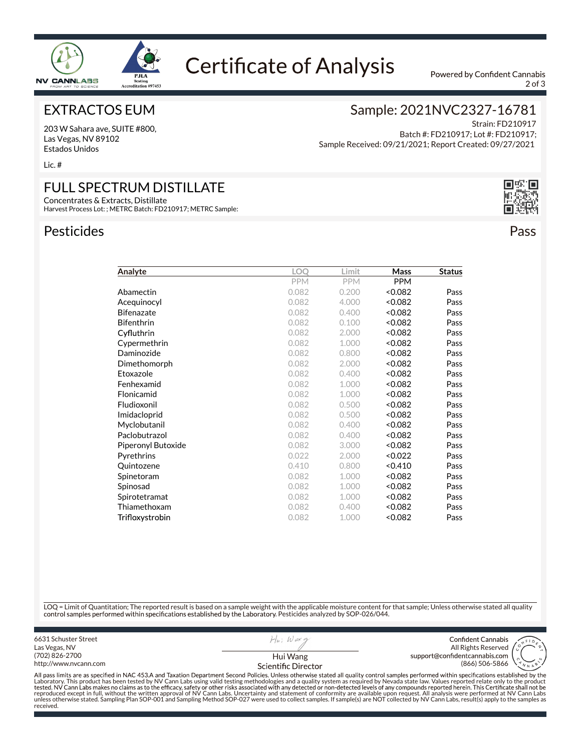

## **Certificate of Analysis**

Powered by Confident Cannabis  $2$  of  $3$ 

Strain: FD210917

Sample: 2021NVC2327-16781

Sample Received: 09/21/2021; Report Created: 09/27/2021

Batch #: FD210917; Lot #: FD210917;

#### EXTRACTOS EUM

203 W Sahara ave, SUITE #800, Las Vegas, NV 89102 Estados Unidos

Lic. #

### FULL SPECTRUM DISTILLATE

Concentrates & Extracts, Distillate Harvest Process Lot: ; METRC Batch: FD210917; METRC Sample:

#### Pesticides **Pesticides** Pass **Pass**



|                    | <b>PPM</b> | <b>PPM</b> | <b>PPM</b> |      |
|--------------------|------------|------------|------------|------|
| Abamectin          | 0.082      | 0.200      | < 0.082    | Pass |
| Acequinocyl        | 0.082      | 4.000      | < 0.082    | Pass |
| Bifenazate         | 0.082      | 0.400      | <0.082     | Pass |
| Bifenthrin         | 0.082      | 0.100      | < 0.082    | Pass |
| Cyfluthrin         | 0.082      | 2.000      | <0.082     | Pass |
| Cypermethrin       | 0.082      | 1.000      | <0.082     | Pass |
| Daminozide         | 0.082      | 0.800      | <0.082     | Pass |
| Dimethomorph       | 0.082      | 2.000      | <0.082     | Pass |
| Etoxazole          | 0.082      | 0.400      | < 0.082    | Pass |
| Fenhexamid         | 0.082      | 1.000      | < 0.082    | Pass |
| Flonicamid         | 0.082      | 1.000      | <0.082     | Pass |
| Fludioxonil        | 0.082      | 0.500      | <0.082     | Pass |
| Imidacloprid       | 0.082      | 0.500      | < 0.082    | Pass |
| Myclobutanil       | 0.082      | 0.400      | <0.082     | Pass |
| Paclobutrazol      | 0.082      | 0.400      | < 0.082    | Pass |
| Piperonyl Butoxide | 0.082      | 3.000      | <0.082     | Pass |
| Pyrethrins         | 0.022      | 2.000      | < 0.022    | Pass |
| Quintozene         | 0.410      | 0.800      | 0.410      | Pass |
| Spinetoram         | 0.082      | 1.000      | < 0.082    | Pass |
| Spinosad           | 0.082      | 1.000      | < 0.082    | Pass |
| Spirotetramat      | 0.082      | 1.000      | < 0.082    | Pass |
| Thiamethoxam       | 0.082      | 0.400      | <0.082     | Pass |
| Trifloxystrobin    | 0.082      | 1.000      | <0.082     | Pass |

**Analyte LOQ Limit Mass Status**

LOQ = Limit of Quantitation; The reported result is based on a sample weight with the applicable moisture content for that sample; Unless otherwise stated all quality control samples performed within specifications established by the Laboratory. Pesticides analyzed by SOP-026/044.

6631 Schuster Street  $H|_{H}$ ; Waxe Confident Cannabis Las Vegas, NV All Rights Reserved<br>support@confidentcannabis.com (702) 826-2700 Hui Wanghttp://www.nvcann.com (866) 506-5866 Scientific Director Laboratory. This product has been tested by NV Cann Labs using valid testing methodologies and a quality system as required by Nevada state law. Values reported relate only to the product reproduced except in full, without the written approval of NV Cann Labs. Uncertainty and statement of conformity are available upon request. All analysis were performed at NV Cann Labs<br>unless otherwise stated. Sampling Pla